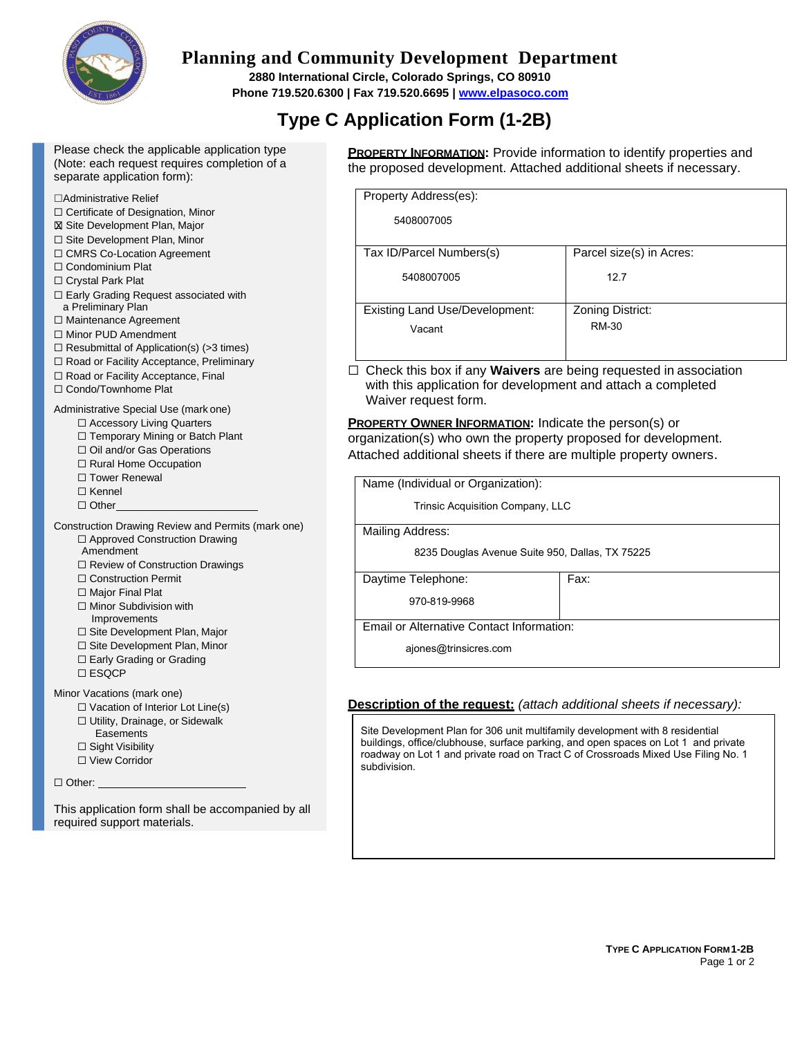

# **Planning and Community Development Department**

**2880 International Circle, Colorado Springs, CO 80910 Phone 719.520.6300 | Fax 719.520.6695 | [www.elpasoco.com](http://www.elpasoco.com/)**

# **Type C Application Form (1-2B)**

| Please check the applicable application type |
|----------------------------------------------|
| (Note: each request requires completion of a |
| separate application form):                  |

#### ☐Administrative Relief

- ☐ Certificate of Designation, Minor
- **⊠ Site Development Plan, Major**
- ☐ Site Development Plan, Minor
- ☐ CMRS Co-Location Agreement
- ☐ Condominium Plat
- ☐ Crystal Park Plat
- ☐ Early Grading Request associated with a Preliminary Plan
- ☐ Maintenance Agreement
- ☐ Minor PUD Amendment
- $\Box$  Resubmittal of Application(s) (>3 times)
- ☐ Road or Facility Acceptance, Preliminary
- ☐ Road or Facility Acceptance, Final
- ☐ Condo/Townhome Plat

#### Administrative Special Use (mark one)

- ☐ Accessory Living Quarters
- ☐ Temporary Mining or Batch Plant ☐ Oil and/or Gas Operations
- 
- □ Rural Home Occupation
- □ Tower Renewal
- ☐ Kennel
- ☐ Other

#### Construction Drawing Review and Permits (mark one) ☐ Approved Construction Drawing

- Amendment
- ☐ Review of Construction Drawings
- ☐ Construction Permit
- □ Major Final Plat
- ☐ Minor Subdivision with Improvements
- ☐ Site Development Plan, Major
- ☐ Site Development Plan, Minor
- ☐ Early Grading or Grading
- ☐ ESQCP

Minor Vacations (mark one)

- ☐ Vacation of Interior Lot Line(s)
- ☐ Utility, Drainage, or Sidewalk
- **Easements**
- ☐ Sight Visibility
- ☐ View Corridor

□ Other:

This application form shall be accompanied by all required support materials.

**PROPERTY INFORMATION:** Provide information to identify properties and the proposed development. Attached additional sheets if necessary.

| Property Address(es):                 |                          |  |  |
|---------------------------------------|--------------------------|--|--|
| 5408007005                            |                          |  |  |
|                                       |                          |  |  |
| Tax ID/Parcel Numbers(s)              | Parcel size(s) in Acres: |  |  |
| 5408007005                            | 12.7                     |  |  |
|                                       |                          |  |  |
| <b>Existing Land Use/Development:</b> | Zoning District:         |  |  |
| Vacant                                | RM-30                    |  |  |
|                                       |                          |  |  |

☐ Check this box if any **Waivers** are being requested in association with this application for development and attach a completed Waiver request form.

**PROPERTY OWNER INFORMATION:** Indicate the person(s) or organization(s) who own the property proposed for development. Attached additional sheets if there are multiple property owners.

| Name (Individual or Organization):              |      |  |  |
|-------------------------------------------------|------|--|--|
| Trinsic Acquisition Company, LLC                |      |  |  |
| Mailing Address:                                |      |  |  |
| 8235 Douglas Avenue Suite 950, Dallas, TX 75225 |      |  |  |
| Daytime Telephone:                              | Fax: |  |  |
| 970-819-9968                                    |      |  |  |
| Email or Alternative Contact Information:       |      |  |  |
| ajones@trinsicres.com                           |      |  |  |

## **Description of the request:** *(attach additional sheets if necessary):*

Site Development Plan for 306 unit multifamily development with 8 residential buildings, office/clubhouse, surface parking, and open spaces on Lot 1 and private roadway on Lot 1 and private road on Tract C of Crossroads Mixed Use Filing No. 1 subdivision.